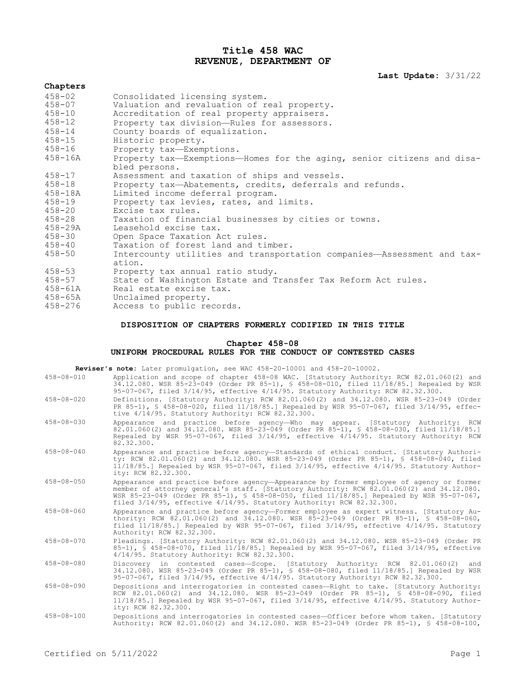# **Title 458 WAC REVENUE, DEPARTMENT OF**

**Last Update:** 3/31/22

**Chapters** 458-02 Consolidated licensing system. 458-07 Valuation and revaluation of real property. 458-10 Accreditation of real property appraisers. 458-12 Property tax division—Rules for assessors. 458-14 County boards of equalization. 458-15 Historic property. 458-16 Property tax—Exemptions. Property tax—Exemptions—Homes for the aging, senior citizens and disabled persons. 458-17 Assessment and taxation of ships and vessels. 458-18 Property tax—Abatements, credits, deferrals and refunds. 458-18A Limited income deferral program. Property tax levies, rates, and limits. 458-20 Excise tax rules. 458-28 Taxation of financial businesses by cities or towns. 458-29A Leasehold excise tax. 458-30 Open Space Taxation Act rules. 458-40 Taxation of forest land and timber. Intercounty utilities and transportation companies—Assessment and taxation. 458-53 Property tax annual ratio study. 458-57 State of Washington Estate and Transfer Tax Reform Act rules.<br>458-61A Real estate excise tax. 458-61A Real estate excise tax.<br>458-65A Unclaimed property. 458-65A Unclaimed property. Access to public records.

## **DISPOSITION OF CHAPTERS FORMERLY CODIFIED IN THIS TITLE**

# **Chapter 458-08**

#### **UNIFORM PROCEDURAL RULES FOR THE CONDUCT OF CONTESTED CASES**

| Reviser's note: Later promulgation, see WAC 458-20-10001 and 458-20-10002. |                                                                                                                                                                                                                                                                                                                                                           |  |
|----------------------------------------------------------------------------|-----------------------------------------------------------------------------------------------------------------------------------------------------------------------------------------------------------------------------------------------------------------------------------------------------------------------------------------------------------|--|
| $458 - 08 - 010$                                                           | Application and scope of chapter 458-08 WAC. [Statutory Authority: RCW 82.01.060(2) and<br>34.12.080. WSR 85-23-049 (Order PR 85-1), § 458-08-010, filed 11/18/85.] Repealed by WSR<br>95-07-067, filed 3/14/95, effective 4/14/95. Statutory Authority: RCW 82.32.300.                                                                                   |  |
| $458 - 08 - 020$                                                           | Definitions. [Statutory Authority: RCW 82.01.060(2) and 34.12.080. WSR 85-23-049 (Order<br>PR 85-1), § 458-08-020, filed 11/18/85.] Repealed by WSR 95-07-067, filed 3/14/95, effec-<br>tive 4/14/95. Statutory Authority: RCW 82.32.300.                                                                                                                 |  |
| $458 - 08 - 030$                                                           | Appearance and practice before agency-Who may appear. [Statutory Authority: RCW<br>82.01.060(2) and 34.12.080. WSR 85-23-049 (Order PR 85-1), § 458-08-030, filed 11/18/85.1<br>Repealed by WSR 95-07-067, filed 3/14/95, effective 4/14/95. Statutory Authority: RCW<br>82.32.300.                                                                       |  |
| $458 - 08 - 040$                                                           | Appearance and practice before agency-Standards of ethical conduct. [Statutory Authori-<br>ty: RCW 82.01.060(2) and 34.12.080. WSR 85-23-049 (Order PR 85-1), § 458-08-040, filed<br>$11/18/85$ . Repealed by WSR 95-07-067, filed $3/14/95$ , effective $4/14/95$ . Statutory Author-<br>ity: RCW 82.32.300.                                             |  |
| $458 - 08 - 050$                                                           | Appearance and practice before agency-Appearance by former employee of agency or former<br>member of attorney general's staff. [Statutory Authority: RCW 82.01.060(2) and 34.12.080.<br>WSR 85-23-049 (Order PR 85-1), § 458-08-050, filed 11/18/85.] Repealed by WSR 95-07-067,<br>filed 3/14/95, effective 4/14/95. Statutory Authority: RCW 82.32.300. |  |
| $458 - 08 - 060$                                                           | Appearance and practice before agency-Former employee as expert witness. [Statutory Au-<br>thority: RCW 82.01.060(2) and 34.12.080. WSR 85-23-049 (Order PR 85-1), § 458-08-060,<br>filed $11/18/85$ .] Repealed by WSR 95-07-067, filed $3/14/95$ , effective $4/14/95$ . Statutory<br>Authority: RCW 82.32.300.                                         |  |
| $458 - 08 - 070$                                                           | Pleadings. [Statutory Authority: RCW 82.01.060(2) and 34.12.080. WSR 85-23-049 (Order PR<br>85-1), § 458-08-070, filed 11/18/85.] Repealed by WSR 95-07-067, filed 3/14/95, effective<br>4/14/95. Statutory Authority: RCW 82.32.300.                                                                                                                     |  |
| $458 - 08 - 080$                                                           | Discovery in contested cases-Scope. [Statutory Authority: RCW 82.01.060(2)<br>and<br>34.12.080. WSR 85-23-049 (Order PR 85-1), § 458-08-080, filed 11/18/85.] Repealed by WSR<br>95-07-067, filed 3/14/95, effective 4/14/95. Statutory Authority: RCW 82.32.300.                                                                                         |  |
| $458 - 08 - 090$                                                           | Depositions and interrogatories in contested cases-Right to take. [Statutory Authority:<br>RCW 82.01.060(2) and 34.12.080. WSR 85-23-049 (Order PR 85-1), § 458-08-090, filed<br>$11/18/85$ . Repealed by WSR 95-07-067, filed $3/14/95$ , effective $4/14/95$ . Statutory Author-<br>ity: RCW 82.32.300.                                                 |  |
| $458 - 08 - 100$                                                           | Depositions and interrogatories in contested cases-Officer before whom taken. [Statutory                                                                                                                                                                                                                                                                  |  |

Authority: RCW 82.01.060(2) and 34.12.080. WSR 85-23-049 (Order PR 85-1), § 458-08-100,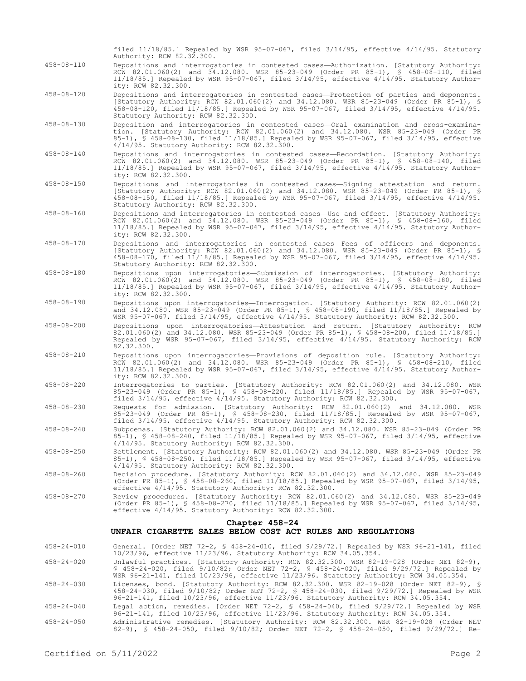|                  | filed $11/18/85$ . Repealed by WSR 95-07-067, filed $3/14/95$ , effective $4/14/95$ . Statutory<br>Authority: RCW 82.32.300.                                                                                                                                                                                                                        |
|------------------|-----------------------------------------------------------------------------------------------------------------------------------------------------------------------------------------------------------------------------------------------------------------------------------------------------------------------------------------------------|
| $458 - 08 - 110$ | Depositions and interrogatories in contested cases—Authorization. [Statutory Authority:<br>RCW 82.01.060(2) and 34.12.080. WSR 85-23-049 (Order PR 85-1), § 458-08-110, filed<br>$11/18/85$ . Repealed by WSR 95-07-067, filed $3/14/95$ , effective $4/14/95$ . Statutory Author-<br>ity: RCW 82.32.300.                                           |
| $458 - 08 - 120$ | Depositions and interrogatories in contested cases-Protection of parties and deponents.<br>[Statutory Authority: RCW 82.01.060(2) and 34.12.080. WSR 85-23-049 (Order PR 85-1), §<br>458-08-120, filed 11/18/85.] Repealed by WSR 95-07-067, filed 3/14/95, effective 4/14/95.<br>Statutory Authority: RCW 82.32.300.                               |
| $458 - 08 - 130$ | Deposition and interrogatories in contested cases—Oral examination and cross-examina-<br>tion. [Statutory Authority: RCW 82.01.060(2) and 34.12.080. WSR 85-23-049 (Order PR<br>85-1), $\frac{1}{5}$ 458-08-130, filed 11/18/85.] Repealed by WSR 95-07-067, filed 3/14/95, effective<br>4/14/95. Statutory Authority: RCW 82.32.300.               |
| $458 - 08 - 140$ | Depositions and interrogatories in contested cases-Recordation. [Statutory Authority:<br>RCW 82.01.060(2) and 34.12.080. WSR 85-23-049 (Order PR 85-1), § 458-08-140, filed<br>$11/18/85$ .] Repealed by WSR 95-07-067, filed $3/14/95$ , effective $4/14/95$ . Statutory Author-<br>ity: RCW 82.32.300.                                            |
| $458 - 08 - 150$ | Depositions and interrogatories in contested cases-Signing attestation and return.<br>[Statutory Authority: RCW 82.01.060(2) and 34.12.080. WSR 85-23-049 (Order PR 85-1), §<br>458-08-150, filed 11/18/85.] Repealed by WSR 95-07-067, filed 3/14/95, effective 4/14/95.<br>Statutory Authority: RCW 82.32.300.                                    |
| $458 - 08 - 160$ | Depositions and interrogatories in contested cases-Use and effect. [Statutory Authority:<br>RCW 82.01.060(2) and 34.12.080. WSR 85-23-049 (Order PR 85-1), § 458-08-160, filed<br>$11/18/85$ . Repealed by WSR 95-07-067, filed $3/14/95$ , effective $4/14/95$ . Statutory Author-<br>ity: RCW 82.32.300.                                          |
| $458 - 08 - 170$ | Depositions and interrogatories in contested cases-Fees of officers and deponents.<br>[Statutory Authority: RCW 82.01.060(2) and 34.12.080. WSR 85-23-049 (Order PR 85-1), §<br>458-08-170, filed 11/18/85.] Repealed by WSR 95-07-067, filed 3/14/95, effective 4/14/95.<br>Statutory Authority: RCW 82.32.300.                                    |
| $458 - 08 - 180$ | Depositions upon interrogatories-Submission of interrogatories. [Statutory Authority:<br>RCW 82.01.060(2) and 34.12.080. WSR 85-23-049 (Order PR 85-1), § 458-08-180, filed<br>$11/18/85$ . Repealed by WSR 95-07-067, filed $3/14/95$ , effective $4/14/95$ . Statutory Author-<br>ity: RCW 82.32.300.                                             |
| $458 - 08 - 190$ | Depositions upon interrogatories—Interrogation. [Statutory Authority: RCW 82.01.060(2)<br>and 34.12.080. WSR 85-23-049 (Order PR 85-1), § 458-08-190, filed 11/18/85.] Repealed by<br>WSR 95-07-067, filed 3/14/95, effective 4/14/95. Statutory Authority: RCW 82.32.300.                                                                          |
| $458 - 08 - 200$ | Depositions upon interrogatories—Attestation and return. [Statutory Authority: RCW<br>82.01.060(2) and 34.12.080. WSR 85-23-049 (Order PR 85-1), \$ 458-08-200, filed 11/18/85.]<br>Repealed by WSR 95-07-067, filed 3/14/95, effective 4/14/95. Statutory Authority: RCW<br>82.32.300.                                                             |
| $458 - 08 - 210$ | Depositions upon interrogatories-Provisions of deposition rule. [Statutory Authority:<br>RCW 82.01.060(2) and 34.12.080. WSR 85-23-049 (Order PR 85-1), § 458-08-210, filed<br>$11/18/85$ .] Repealed by WSR 95-07-067, filed $3/14/95$ , effective $4/14/95$ . Statutory Author-<br>ity: RCW 82.32.300.                                            |
| 458-08-220       | Interrogatories to parties. [Statutory Authority: RCW 82.01.060(2) and 34.12.080. WSR<br>85-23-049 (Order PR 85-1), § 458-08-220, filed 11/18/85.] Repealed by WSR 95-07-067,<br>filed $3/14/95$ , effective $4/14/95$ . Statutory Authority: RCW 82.32.300.                                                                                        |
| $458 - 08 - 230$ | Requests for admission. [Statutory Authority: RCW 82.01.060(2) and 34.12.080. WSR<br>85-23-049 (Order PR 85-1), § 458-08-230, filed 11/18/85.] Repealed by WSR 95-07-067,<br>filed $3/14/95$ , effective $4/14/95$ . Statutory Authority: RCW 82.32.300.                                                                                            |
| $458 - 08 - 240$ | Subpoenas. [Statutory Authority: RCW 82.01.060(2) and 34.12.080. WSR 85-23-049 (Order PR<br>85-1), § 458-08-240, filed 11/18/85.] Repealed by WSR 95-07-067, filed 3/14/95, effective<br>4/14/95. Statutory Authority: RCW 82.32.300.                                                                                                               |
| $458 - 08 - 250$ | Settlement. [Statutory Authority: RCW 82.01.060(2) and 34.12.080. WSR 85-23-049 (Order PR<br>85-1), $\frac{1}{5}$ 458-08-250, filed 11/18/85.] Repealed by WSR 95-07-067, filed 3/14/95, effective<br>4/14/95. Statutory Authority: RCW 82.32.300.                                                                                                  |
| $458 - 08 - 260$ | Decision procedure. [Statutory Authority: RCW 82.01.060(2) and 34.12.080. WSR 85-23-049<br>(Order PR 85-1), § 458-08-260, filed 11/18/85.] Repealed by WSR 95-07-067, filed 3/14/95,<br>effective 4/14/95. Statutory Authority: RCW 82.32.300.                                                                                                      |
| $458 - 08 - 270$ | Review procedures. [Statutory Authority: RCW 82.01.060(2) and 34.12.080. WSR 85-23-049<br>(Order PR 85-1), § 458-08-270, filed 11/18/85.] Repealed by WSR 95-07-067, filed 3/14/95,<br>effective 4/14/95. Statutory Authority: RCW 82.32.300.                                                                                                       |
|                  | Chapter 458-24<br>UNFAIR CIGARETTE SALES BELOW COST ACT RULES AND REGULATIONS                                                                                                                                                                                                                                                                       |
| $458 - 24 - 010$ | General. [Order NET 72-2, § 458-24-010, filed $9/29/72$ .] Repealed by WSR 96-21-141, filed                                                                                                                                                                                                                                                         |
| $458 - 24 - 020$ | 10/23/96, effective 11/23/96. Statutory Authority: RCW 34.05.354.<br>Unlawful practices. [Statutory Authority: RCW 82.32.300. WSR 82-19-028 (Order NET 82-9),<br>\$ 458-24-020, filed 9/10/82; Order NET 72-2, \$ 458-24-020, filed 9/29/72.] Repealed by<br>WSR 96-21-141, filed 10/23/96, effective 11/23/96. Statutory Authority: RCW 34.05.354. |
| $458 - 24 - 030$ | Licenses, bond. [Statutory Authority: RCW 82.32.300. WSR 82-19-028 (Order NET 82-9), §<br>458-24-030, filed 9/10/82; Order NET 72-2, § 458-24-030, filed 9/29/72.] Repealed by WSR<br>96-21-141, filed 10/23/96, effective 11/23/96. Statutory Authority: RCW 34.05.354.                                                                            |
| $458 - 24 - 040$ | Legal action, remedies. [Order NET 72-2, § 458-24-040, filed 9/29/72.] Repealed by WSR<br>96-21-141, filed 10/23/96, effective 11/23/96. Statutory Authority: RCW 34.05.354.                                                                                                                                                                        |

458-24-050 Administrative remedies. [Statutory Authority: RCW 82.32.300. WSR 82-19-028 (Order NET 82-9), § 458-24-050, filed 9/10/82; Order NET 72-2, § 458-24-050, filed 9/29/72.] Re-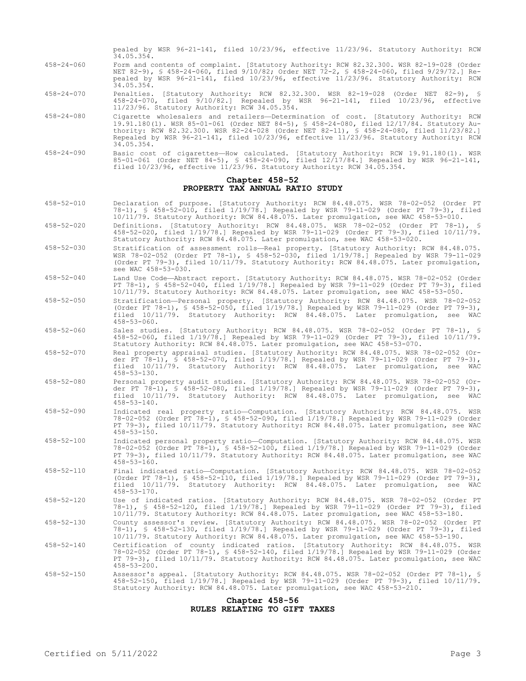pealed by WSR 96-21-141, filed 10/23/96, effective 11/23/96. Statutory Authority: RCW 34.05.354.

- 458-24-060 Form and contents of complaint. [Statutory Authority: RCW 82.32.300. WSR 82-19-028 (Order NET 82-9), § 458-24-060, filed 9/10/82; Order NET 72-2, § 458-24-060, filed 9/29/72.] Repealed by WSR 96-21-141, filed 10/23/96, effective 11/23/96. Statutory Authority: RCW 34.05.354.
- 458-24-070 Penalties. [Statutory Authority: RCW 82.32.300. WSR 82-19-028 (Order NET 82-9), § 458-24-070, filed 9/10/82.] Repealed by WSR 96-21-141, filed 10/23/96, effective 11/23/96. Statutory Authority: RCW 34.05.354.
- 458-24-080 Cigarette wholesalers and retailers—Determination of cost. [Statutory Authority: RCW 19.91.180(1). WSR 85-01-061 (Order NET 84-5), § 458-24-080, filed 12/17/84. Statutory Authority: RCW 82.32.300. WSR 82-24-028 (Order NET 82-11), § 458-24-080, filed 11/23/82.] Repealed by WSR 96-21-141, filed 10/23/96, effective 11/23/96. Statutory Authority: RCW 34.05.354.
- 458-24-090 Basic cost of cigarettes—How calculated. [Statutory Authority: RCW 19.91.180(1). WSR 85-01-061 (Order NET 84-5), § 458-24-090, filed 12/17/84.] Repealed by WSR 96-21-141, filed 10/23/96, effective 11/23/96. Statutory Authority: RCW 34.05.354.

### **Chapter 458-52 PROPERTY TAX ANNUAL RATIO STUDY**

- 458-52-010 Declaration of purpose. [Statutory Authority: RCW 84.48.075. WSR 78-02-052 (Order PT 78-1), § 458-52-010, filed 1/19/78.] Repealed by WSR 79-11-029 (Order PT 79-3), filed 10/11/79. Statutory Authority: RCW 84.48.075. Later promulgation, see WAC 458-53-010.
- 458-52-020 Definitions. [Statutory Authority: RCW 84.48.075. WSR 78-02-052 (Order PT 78-1), § 458-52-020, filed 1/19/78.] Repealed by WSR 79-11-029 (Order PT 79-3), filed 10/11/79. Statutory Authority: RCW 84.48.075. Later promulgation, see WAC 458-53-020.
- 458-52-030 Stratification of assessment rolls—Real property. [Statutory Authority: RCW 84.48.075. WSR 78-02-052 (Order PT 78-1), § 458-52-030, filed 1/19/78.] Repealed by WSR 79-11-029 (Order PT 79-3), filed 10/11/79. Statutory Authority: RCW 84.48.075. Later promulgation, see WAC 458-53-030.
- 458-52-040 Land Use Code—Abstract report. [Statutory Authority: RCW 84.48.075. WSR 78-02-052 (Order PT 78-1), § 458-52-040, filed 1/19/78.] Repealed by WSR 79-11-029 (Order PT 79-3), filed 10/11/79. Statutory Authority: RCW 84.48.075. Later promulgation, see WAC 458-53-050.
- 458-52-050 Stratification—Personal property. [Statutory Authority: RCW 84.48.075. WSR 78-02-052 (Order PT 78-1), § 458-52-050, filed 1/19/78.] Repealed by WSR 79-11-029 (Order PT 79-3), filed 10/11/79. Statutory Authority: RCW 84.48.075. Later promulgation, see WAC 458-53-060.
- 458-52-060 Sales studies. [Statutory Authority: RCW 84.48.075. WSR 78-02-052 (Order PT 78-1), § 458-52-060, filed 1/19/78.] Repealed by WSR 79-11-029 (Order PT 79-3), filed 10/11/79. Statutory Authority: RCW 84.48.075. Later promulgation, see WAC 458-53-070.
- 458-52-070 Real property appraisal studies. [Statutory Authority: RCW 84.48.075. WSR 78-02-052 (Order PT 78-1), § 458-52-070, filed 1/19/78.] Repealed by WSR 79-11-029 (Order PT 79-3), filed 10/11/79. Statutory Authority: RCW 84.48.075. Later promulgation, see WAC  $458 - 53 - 130$ .
- 458-52-080 Personal property audit studies. [Statutory Authority: RCW 84.48.075. WSR 78-02-052 (Order PT 78-1), § 458-52-080, filed 1/19/78.] Repealed by WSR 79-11-029 (Order PT 79-3), filed 10/11/79. Statutory Authority: RCW 84.48.075. Later promulgation, see WAC  $458 - 53 - 140$ .
- 458-52-090 Indicated real property ratio—Computation. [Statutory Authority: RCW 84.48.075. WSR 78-02-052 (Order PT 78-1), § 458-52-090, filed 1/19/78.] Repealed by WSR 79-11-029 (Order PT 79-3), filed 10/11/79. Statutory Authority: RCW 84.48.075. Later promulgation, see WAC 458-53-150.
- 458-52-100 Indicated personal property ratio—Computation. [Statutory Authority: RCW 84.48.075. WSR 78-02-052 (Order PT 78-1), § 458-52-100, filed 1/19/78.] Repealed by WSR 79-11-029 (Order PT 79-3), filed 10/11/79. Statutory Authority: RCW 84.48.075. Later promulgation, see WAC  $458 - 53 - 160$ .
- 458-52-110 Final indicated ratio—Computation. [Statutory Authority: RCW 84.48.075. WSR 78-02-052 (Order PT 78-1), § 458-52-110, filed 1/19/78.] Repealed by WSR 79-11-029 (Order PT 79-3), filed 10/11/79. Statutory Authority: RCW 84.48.075. Later promulgation, see WAC 458-53-170.
- 458-52-120 Use of indicated ratios. [Statutory Authority: RCW 84.48.075. WSR 78-02-052 (Order PT 78-1), § 458-52-120, filed 1/19/78.] Repealed by WSR 79-11-029 (Order PT 79-3), filed 10/11/79. Statutory Authority: RCW 84.48.075. Later promulgation, see WAC 458-53-180.
- 458-52-130 County assessor's review. [Statutory Authority: RCW 84.48.075. WSR 78-02-052 (Order PT 78-1), § 458-52-130, filed 1/19/78.] Repealed by WSR 79-11-029 (Order PT 79-3), filed 10/11/79. Statutory Authority: RCW 84.48.075. Later promulgation, see WAC 458-53-190.
- 458-52-140 Certification of county indicated ratios. [Statutory Authority: RCW 84.48.075. WSR 78-02-052 (Order PT 78-1), § 458-52-140, filed 1/19/78.] Repealed by WSR 79-11-029 (Order PT 79-3), filed 10/11/79. Statutory Authority: RCW 84.48.075. Later promulgation, see WAC 458-53-200.
- 458-52-150 Assessor's appeal. [Statutory Authority: RCW 84.48.075. WSR 78-02-052 (Order PT 78-1), § 458-52-150, filed 1/19/78.] Repealed by WSR 79-11-029 (Order PT 79-3), filed 10/11/79. Statutory Authority: RCW 84.48.075. Later promulgation, see WAC 458-53-210.

#### **Chapter 458-56 RULES RELATING TO GIFT TAXES**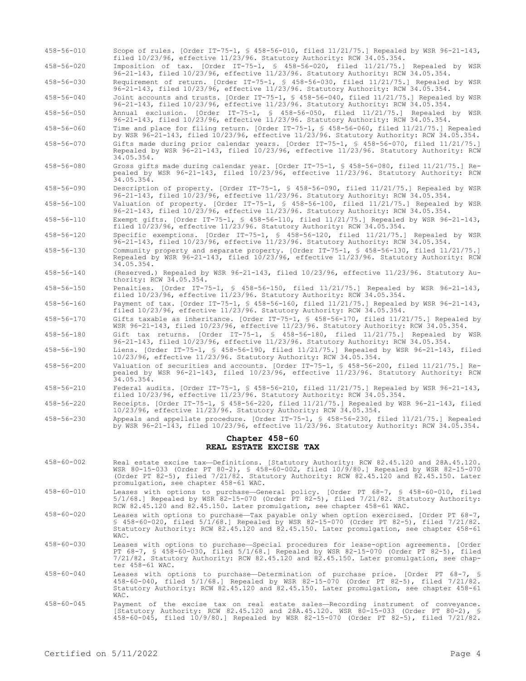| $458 - 56 - 010$ | Scope of rules. [Order IT-75-1, § 458-56-010, filed 11/21/75.] Repealed by WSR 96-21-143,<br>filed 10/23/96, effective 11/23/96. Statutory Authority: RCW 34.05.354.                                                                                                                                                  |
|------------------|-----------------------------------------------------------------------------------------------------------------------------------------------------------------------------------------------------------------------------------------------------------------------------------------------------------------------|
| $458 - 56 - 020$ | Imposition of tax. [Order IT-75-1, § 458-56-020, filed 11/21/75.] Repealed by WSR<br>96-21-143, filed 10/23/96, effective 11/23/96. Statutory Authority: RCW 34.05.354.                                                                                                                                               |
| $458 - 56 - 030$ | Requirement of return. [Order IT-75-1, § 458-56-030, filed 11/21/75.] Repealed by WSR<br>96-21-143, filed 10/23/96, effective 11/23/96. Statutory Authority: RCW 34.05.354.                                                                                                                                           |
| $458 - 56 - 040$ | Joint accounts and trusts. [Order IT-75-1, § 458-56-040, filed 11/21/75.] Repealed by WSR<br>96-21-143, filed 10/23/96, effective 11/23/96. Statutory Authority: RCW 34.05.354.                                                                                                                                       |
| $458 - 56 - 050$ | Annual exclusion. [Order IT-75-1, § 458-56-050, filed 11/21/75.] Repealed by WSR<br>96-21-143, filed 10/23/96, effective 11/23/96. Statutory Authority: RCW 34.05.354.                                                                                                                                                |
| $458 - 56 - 060$ | Time and place for filing return. [Order IT-75-1, § 458-56-060, filed 11/21/75.] Repealed<br>by WSR 96-21-143, filed 10/23/96, effective 11/23/96. Statutory Authority: RCW 34.05.354.                                                                                                                                |
| $458 - 56 - 070$ | Gifts made during prior calendar years. [Order IT-75-1, \$ 458-56-070, filed 11/21/75.]<br>Repealed by WSR 96-21-143, filed 10/23/96, effective 11/23/96. Statutory Authority: RCW<br>34.05.354.                                                                                                                      |
| $458 - 56 - 080$ | Gross gifts made during calendar year. [Order IT-75-1, § 458-56-080, filed 11/21/75.] Re-<br>pealed by WSR 96-21-143, filed 10/23/96, effective 11/23/96. Statutory Authority: RCW<br>34.05.354.                                                                                                                      |
| $458 - 56 - 090$ | Description of property. [Order IT-75-1, § 458-56-090, filed 11/21/75.] Repealed by WSR<br>96-21-143, filed 10/23/96, effective 11/23/96. Statutory Authority: RCW 34.05.354.                                                                                                                                         |
| $458 - 56 - 100$ | Valuation of property. [Order IT-75-1, § 458-56-100, filed 11/21/75.] Repealed by WSR<br>96-21-143, filed 10/23/96, effective 11/23/96. Statutory Authority: RCW 34.05.354.                                                                                                                                           |
| $458 - 56 - 110$ | Exempt gifts. [Order IT-75-1, § 458-56-110, filed 11/21/75.] Repealed by WSR 96-21-143,<br>filed $10/23/96$ , effective $11/23/96$ . Statutory Authority: RCW 34.05.354.                                                                                                                                              |
| $458 - 56 - 120$ | Specific exemptions. [Order IT-75-1, § 458-56-120, filed 11/21/75.] Repealed by WSR<br>96-21-143, filed 10/23/96, effective 11/23/96. Statutory Authority: RCW 34.05.354.                                                                                                                                             |
| $458 - 56 - 130$ | Community property and separate property. [Order IT-75-1, § 458-56-130, filed 11/21/75.]<br>Repealed by WSR 96-21-143, filed 10/23/96, effective 11/23/96. Statutory Authority: RCW<br>34.05.354.                                                                                                                     |
| $458 - 56 - 140$ | (Reserved.) Repealed by WSR 96-21-143, filed 10/23/96, effective 11/23/96. Statutory Au-<br>thority: RCW 34.05.354.                                                                                                                                                                                                   |
| $458 - 56 - 150$ | Penalties. [Order IT-75-1, § 458-56-150, filed 11/21/75.] Repealed by WSR 96-21-143,<br>filed $10/23/96$ , effective $11/23/96$ . Statutory Authority: RCW 34.05.354.                                                                                                                                                 |
| $458 - 56 - 160$ | Payment of tax. [Order IT-75-1, § 458-56-160, filed 11/21/75.] Repealed by WSR 96-21-143,<br>filed 10/23/96, effective 11/23/96. Statutory Authority: RCW 34.05.354.                                                                                                                                                  |
| $458 - 56 - 170$ | Gifts taxable as inheritance. [Order IT-75-1, § 458-56-170, filed 11/21/75.] Repealed by<br>WSR 96-21-143, filed 10/23/96, effective 11/23/96. Statutory Authority: RCW 34.05.354.                                                                                                                                    |
| $458 - 56 - 180$ | Gift tax returns. [Order IT-75-1, § 458-56-180, filed 11/21/75.] Repealed by WSR<br>96-21-143, filed 10/23/96, effective 11/23/96. Statutory Authority: RCW 34.05.354.                                                                                                                                                |
| $458 - 56 - 190$ | Liens. [Order IT-75-1, § 458-56-190, filed 11/21/75.] Repealed by WSR 96-21-143, filed<br>10/23/96, effective 11/23/96. Statutory Authority: RCW 34.05.354.                                                                                                                                                           |
| $458 - 56 - 200$ | Valuation of securities and accounts. [Order IT-75-1, § 458-56-200, filed 11/21/75.] Re-<br>pealed by WSR 96-21-143, filed 10/23/96, effective 11/23/96. Statutory Authority: RCW<br>34.05.354.                                                                                                                       |
| $458 - 56 - 210$ | Federal audits. [Order IT-75-1, § 458-56-210, filed 11/21/75.] Repealed by WSR 96-21-143,<br>filed 10/23/96, effective 11/23/96. Statutory Authority: RCW 34.05.354.                                                                                                                                                  |
| $458 - 56 - 220$ | Receipts. [Order IT-75-1, § 458-56-220, filed 11/21/75.] Repealed by WSR 96-21-143, filed<br>10/23/96, effective 11/23/96. Statutory Authority: RCW 34.05.354.                                                                                                                                                        |
| $458 - 56 - 230$ | Appeals and appellate procedure. [Order IT-75-1, § 458-56-230, filed 11/21/75.] Repealed<br>by WSR 96-21-143, filed 10/23/96, effective 11/23/96. Statutory Authority: RCW 34.05.354.                                                                                                                                 |
|                  | Chapter 458-60<br>REAL ESTATE EXCISE TAX                                                                                                                                                                                                                                                                              |
| $458 - 60 - 002$ | Real estate excise tax-Definitions. [Statutory Authority: RCW 82.45.120 and 28A.45.120.<br>WSR 80-15-033 (Order PT 80-2), § 458-60-002, filed 10/9/80.] Repealed by WSR 82-15-070<br>(Order PT 82-5), filed 7/21/82. Statutory Authority: RCW 82.45.120 and 82.45.150. Later<br>promulgation, see chapter 458-61 WAC. |
| $458 - 60 - 010$ | Leases with options to purchase-General policy. [Order PT 68-7, \$ 458-60-010, filed<br>$5/1/68$ .] Repealed by WSR 82-15-070 (Order PT 82-5), filed $7/21/82$ . Statutory Authority:<br>RCW 82.45.120 and 82.45.150. Later promulgation, see chapter 458-61 WAC.                                                     |
| $458 - 60 - 020$ | Leases with options to purchase—Tax payable only when option exercised. [Order PT 68-7,<br>$$458-60-020$ , filed $5/1/68$ . Repealed by WSR 82-15-070 (Order PT 82-5), filed $7/21/82$ .<br>Statutory Authority: RCW 82.45.120 and 82.45.150. Later promulgation, see chapter 458-61<br>WAC.                          |
| $458 - 60 - 030$ | Leases with options to purchase-Special procedures for lease-option agreements. [Order<br>PT 68-7, § 458-60-030, filed 5/1/68.] Repealed by WSR 82-15-070 (Order PT 82-5), filed<br>7/21/82. Statutory Authority: RCW 82.45.120 and 82.45.150. Later promulgation, see chap-<br>ter 458-61 WAC.                       |
| $458 - 60 - 040$ | Leases with options to purchase—Determination of purchase price. [Order PT 68-7, §<br>458-60-040, filed 5/1/68.] Repealed by WSR 82-15-070 (Order PT 82-5), filed 7/21/82.<br>Statutory Authority: RCW 82.45.120 and 82.45.150. Later promulgation, see chapter 458-61<br>WAC.                                        |
| $458 - 60 - 045$ | Payment of the excise tax on real estate sales—Recording instrument of conveyance.<br>[Statutory Authority: RCW 82.45.120 and 28A.45.120. WSR 80-15-033 (Order PT 80-2), §                                                                                                                                            |

458-60-045, filed 10/9/80.] Repealed by WSR 82-15-070 (Order PT 82-5), filed 7/21/82.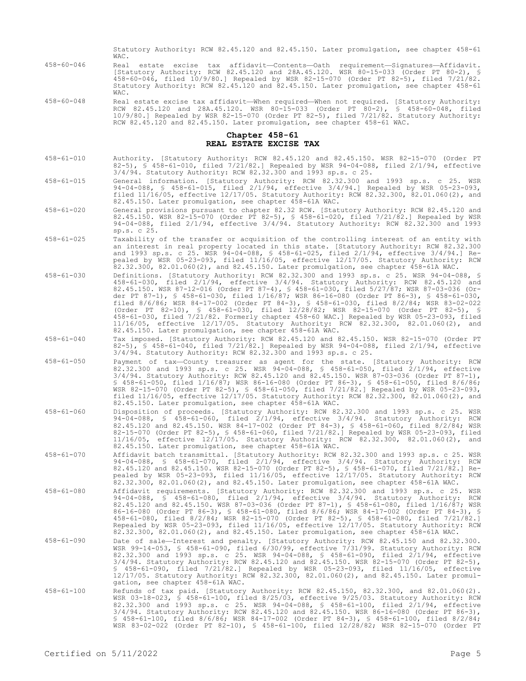|                  | Statutory Authority: RCW 82.45.120 and 82.45.150. Later promulgation, see chapter 458-61<br>WAC.                                                                                                                                                                                                                                                                                                                                                                                                                                                                                                                                                                                                                                                                                                            |
|------------------|-------------------------------------------------------------------------------------------------------------------------------------------------------------------------------------------------------------------------------------------------------------------------------------------------------------------------------------------------------------------------------------------------------------------------------------------------------------------------------------------------------------------------------------------------------------------------------------------------------------------------------------------------------------------------------------------------------------------------------------------------------------------------------------------------------------|
| $458 - 60 - 046$ | Real estate excise tax affidavit-Contents-Oath requirement-Signatures-Affidavit.<br>[Statutory Authority: RCW 82.45.120 and 28A.45.120. WSR 80-15-033 (Order PT 80-2), §<br>458-60-046, filed 10/9/80.] Repealed by WSR 82-15-070 (Order PT 82-5), filed 7/21/82.<br>Statutory Authority: RCW 82.45.120 and 82.45.150. Later promulgation, see chapter 458-61<br>WAC.                                                                                                                                                                                                                                                                                                                                                                                                                                       |
| $458 - 60 - 048$ | Real estate excise tax affidavit—When required—When not required. [Statutory Authority:<br>RCW 82.45.120 and 28A.45.120. WSR 80-15-033 (Order PT 80-2), § 458-60-048, filed<br>10/9/80.] Repealed by WSR 82-15-070 (Order PT 82-5), filed 7/21/82. Statutory Authority:<br>RCW 82.45.120 and 82.45.150. Later promulgation, see chapter 458-61 WAC.                                                                                                                                                                                                                                                                                                                                                                                                                                                         |
|                  | Chapter 458-61<br>REAL ESTATE EXCISE TAX                                                                                                                                                                                                                                                                                                                                                                                                                                                                                                                                                                                                                                                                                                                                                                    |
| $458 - 61 - 010$ | Authority. [Statutory Authority: RCW 82.45.120 and 82.45.150. WSR 82-15-070 (Order PT<br>82-5), § 458-61-010, filed 7/21/82.] Repealed by WSR 94-04-088, filed $2/1/94$ , effective<br>$3/4/94$ . Statutory Authority: RCW 82.32.300 and 1993 sp.s. c 25.                                                                                                                                                                                                                                                                                                                                                                                                                                                                                                                                                   |
| $458 - 61 - 015$ | General information. [Statutory Authority: RCW 82.32.300 and 1993 sp.s. c 25. WSR<br>94-04-088, § 458-61-015, filed $2/1/94$ , effective $3/4/94$ .] Repealed by WSR 05-23-093,<br>filed $11/16/05$ , effective $12/17/05$ . Statutory Authority: RCW 82.32.300, 82.01.060(2), and<br>82.45.150. Later promulgation, see chapter 458-61A WAC.                                                                                                                                                                                                                                                                                                                                                                                                                                                               |
| $458 - 61 - 020$ | General provisions pursuant to chapter 82.32 RCW. [Statutory Authority: RCW 82.45.120 and<br>82.45.150. WSR 82-15-070 (Order PT 82-5), § 458-61-020, filed 7/21/82.] Repealed by WSR<br>94-04-088, filed 2/1/94, effective 3/4/94. Statutory Authority: RCW 82.32.300 and 1993<br>sp.s. c 25.                                                                                                                                                                                                                                                                                                                                                                                                                                                                                                               |
| $458 - 61 - 025$ | Taxability of the transfer or acquisition of the controlling interest of an entity with<br>an interest in real property located in this state. [Statutory Authority: RCW 82.32.300<br>and 1993 sp.s. c 25. WSR 94-04-088, § 458-61-025, filed $2/1/94$ , effective $3/4/94$ .] Re-<br>pealed by WSR 05-23-093, filed 11/16/05, effective 12/17/05. Statutory Authority: RCW<br>82.32.300, 82.01.060(2), and 82.45.150. Later promulgation, see chapter 458-61A WAC.                                                                                                                                                                                                                                                                                                                                         |
| $458 - 61 - 030$ | Definitions. [Statutory Authority: RCW 82.32.300 and 1993 sp.s. c 25. WSR 94-04-088, §<br>$458-61-030$ , filed $2/1/94$ , effective $3/4/94$ . Statutory Authority: RCW 82.45.120 and<br>82.45.150. WSR 87-12-016 (Order PT 87-4), § 458-61-030, filed 5/27/87; WSR 87-03-036 (Or-<br>der PT 87-1), § 458-61-030, filed 1/16/87; WSR 86-16-080 (Order PT 86-3), § 458-61-030,<br>filed 8/6/86; WSR 84-17-002 (Order PT 84-3), \$ 458-61-030, filed 8/2/84; WSR 83-02-022<br>(Order PT 82-10), § 458-61-030, filed 12/28/82; WSR 82-15-070 (Order PT 82-5), §<br>458-61-030, filed 7/21/82. Formerly chapter 458-60 WAC.] Repealed by WSR 05-23-093, filed<br>11/16/05, effective 12/17/05. Statutory Authority: RCW 82.32.300, 82.01.060(2), and<br>82.45.150. Later promulgation, see chapter 458-61A WAC. |
| $458 - 61 - 040$ | Tax imposed. [Statutory Authority: RCW 82.45.120 and 82.45.150. WSR 82-15-070 (Order PT<br>82-5), § 458-61-040, filed 7/21/82.] Repealed by WSR 94-04-088, filed $2/1/94$ , effective<br>$3/4/94$ . Statutory Authority: RCW 82.32.300 and 1993 sp.s. c 25.                                                                                                                                                                                                                                                                                                                                                                                                                                                                                                                                                 |
| $458 - 61 - 050$ | Payment of tax-County treasurer as agent for the state. [Statutory Authority: RCW<br>82.32.300 and 1993 sp.s. c 25. WSR 94-04-088, § 458-61-050, filed 2/1/94, effective<br>$3/4/94$ . Statutory Authority: RCW 82.45.120 and 82.45.150. WSR 87-03-036 (Order PT 87-1),<br>\$ 458-61-050, filed 1/16/87; WSR 86-16-080 (Order PT 86-3), \$ 458-61-050, filed 8/6/86;<br>WSR 82-15-070 (Order PT 82-5), § 458-61-050, filed 7/21/82.] Repealed by WSR 05-23-093,<br>filed $11/16/05$ , effective $12/17/05$ . Statutory Authority: RCW 82.32.300, 82.01.060(2), and<br>82.45.150. Later promulgation, see chapter 458-61A WAC.                                                                                                                                                                               |
| $458 - 61 - 060$ | Disposition of proceeds. [Statutory Authority: RCW 82.32.300 and 1993 sp.s. c 25. WSR<br>94-04-088, § 458-61-060, filed 2/1/94, effective 3/4/94. Statutory Authority: RCW<br>82.45.120 and 82.45.150. WSR 84-17-002 (Order PT 84-3), § 458-61-060, filed 8/2/84; WSR<br>82-15-070 (Order PT 82-5), \$ 458-61-060, filed 7/21/82.] Repealed by WSR 05-23-093, filed<br>11/16/05, effective 12/17/05. Statutory Authority: RCW 82.32.300, 82.01.060(2), and<br>82.45.150. Later promulgation, see chapter 458-61A WAC.                                                                                                                                                                                                                                                                                       |
| $458 - 61 - 070$ | Affidavit batch transmittal. [Statutory Authority: RCW 82.32.300 and 1993 sp.s. c 25. WSR<br>94-04-088, § 458-61-070, filed 2/1/94, effective 3/4/94. Statutory Authority: RCW<br>82.45.120 and 82.45.150. WSR 82-15-070 (Order PT 82-5), § 458-61-070, filed 7/21/82.] Re-<br>pealed by WSR 05-23-093, filed 11/16/05, effective 12/17/05. Statutory Authority: RCW<br>82.32.300, 82.01.060(2), and 82.45.150. Later promulgation, see chapter 458-61A WAC.                                                                                                                                                                                                                                                                                                                                                |
| $458 - 61 - 080$ | Affidavit requirements. [Statutory Authority: RCW 82.32.300 and 1993 sp.s. c 25. WSR<br>94-04-088, § 458-61-080, filed 2/1/94, effective 3/4/94. Statutory Authority: RCW<br>82.45.120 and 82.45.150. WSR 87-03-036 (Order PT 87-1), § 458-61-080, filed 1/16/87; WSR<br>86-16-080 (Order PT 86-3), § 458-61-080, filed 8/6/86; WSR 84-17-002 (Order PT 84-3), §<br>458-61-080, filed 8/2/84; WSR 82-15-070 (Order PT 82-5), § 458-61-080, filed 7/21/82.]<br>Repealed by WSR 05-23-093, filed 11/16/05, effective 12/17/05. Statutory Authority: RCW<br>82.32.300, 82.01.060(2), and 82.45.150. Later promulgation, see chapter 458-61A WAC.                                                                                                                                                               |
| $458 - 61 - 090$ | Date of sale-Interest and penalty. [Statutory Authority: RCW 82.45.150 and 82.32.300.<br>WSR 99-14-053, § 458-61-090, filed 6/30/99, effective 7/31/99. Statutory Authority: RCW<br>82.32.300 and 1993 sp.s. c 25. WSR 94-04-088, § 458-61-090, filed 2/1/94, effective<br>$3/4/94$ . Statutory Authority: RCW 82.45.120 and 82.45.150. WSR 82-15-070 (Order PT 82-5),<br>$$458-61-090$ , filed $7/21/82$ . Repealed by WSR 05-23-093, filed 11/16/05, effective<br>12/17/05. Statutory Authority: RCW 82.32.300, 82.01.060(2), and 82.45.150. Later promul-<br>gation, see chapter 458-61A WAC.                                                                                                                                                                                                            |
| $458 - 61 - 100$ | Refunds of tax paid. [Statutory Authority: RCW 82.45.150, 82.32.300, and 82.01.060(2).<br>WSR 03-18-023, § 458-61-100, filed 8/25/03, effective 9/25/03. Statutory Authority: RCW<br>82.32.300 and 1993 sp.s. c 25. WSR 94-04-088, § 458-61-100, filed 2/1/94, effective<br>$3/4/94$ . Statutory Authority: RCW 82.45.120 and 82.45.150. WSR 86-16-080 (Order PT 86-3),<br>$$458-61-100$ , filed 8/6/86; WSR 84-17-002 (Order PT 84-3), $$458-61-100$ , filed 8/2/84;<br>WSR 83-02-022 (Order PT 82-10), § 458-61-100, filed 12/28/82; WSR 82-15-070 (Order PT                                                                                                                                                                                                                                              |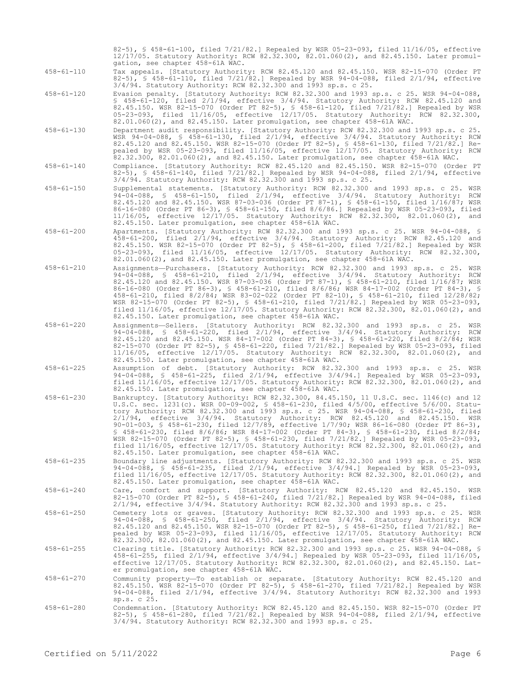82-5), § 458-61-100, filed 7/21/82.] Repealed by WSR 05-23-093, filed 11/16/05, effective 12/17/05. Statutory Authority: RCW 82.32.300, 82.01.060(2), and 82.45.150. Later promulgation, see chapter 458-61A WAC.

458-61-110 Tax appeals. [Statutory Authority: RCW 82.45.120 and 82.45.150. WSR 82-15-070 (Order PT 82-5), § 458-61-110, filed 7/21/82.] Repealed by WSR 94-04-088, filed 2/1/94, effective 3/4/94. Statutory Authority: RCW 82.32.300 and 1993 sp.s. c 25.

458-61-120 Evasion penalty. [Statutory Authority: RCW 82.32.300 and 1993 sp.s. c 25. WSR 94-04-088, § 458-61-120, filed 2/1/94, effective 3/4/94. Statutory Authority: RCW 82.45.120 and 82.45.150. WSR 82-15-070 (Order PT 82-5), § 458-61-120, filed 7/21/82.] Repealed by WSR 05-23-093, filed 11/16/05, effective 12/17/05. Statutory Authority: RCW 82.32.300, 82.01.060(2), and 82.45.150. Later promulgation, see chapter 458-61A WAC.

458-61-130 Department audit responsibility. [Statutory Authority: RCW 82.32.300 and 1993 sp.s. c 25. WSR 94-04-088, § 458-61-130, filed 2/1/94, effective 3/4/94. Statutory Authority: RCW 82.45.120 and 82.45.150. WSR 82-15-070 (Order PT 82-5), § 458-61-130, filed 7/21/82.] Repealed by WSR 05-23-093, filed 11/16/05, effective 12/17/05. Statutory Authority: RCW 82.32.300, 82.01.060(2), and 82.45.150. Later promulgation, see chapter 458-61A WAC.

458-61-140 Compliance. [Statutory Authority: RCW 82.45.120 and 82.45.150. WSR 82-15-070 (Order PT 82-5), § 458-61-140, filed 7/21/82.] Repealed by WSR 94-04-088, filed 2/1/94, effective 3/4/94. Statutory Authority: RCW 82.32.300 and 1993 sp.s. c 25.

458-61-150 Supplemental statements. [Statutory Authority: RCW 82.32.300 and 1993 sp.s. c 25. WSR 94-04-088, § 458-61-150, filed 2/1/94, effective 3/4/94. Statutory Authority: RCW 82.45.120 and 82.45.150. WSR 87-03-036 (Order PT 87-1), § 458-61-150, filed 1/16/87; WSR 86-16-080 (Order PT 86-3), § 458-61-150, filed 8/6/86.] Repealed by WSR 05-23-093, filed 11/16/05, effective 12/17/05. Statutory Authority: RCW 82.32.300, 82.01.060(2), and 82.45.150. Later promulgation, see chapter 458-61A WAC.

458-61-200 Apartments. [Statutory Authority: RCW 82.32.300 and 1993 sp.s. c 25. WSR 94-04-088, § 458-61-200, filed 2/1/94, effective 3/4/94. Statutory Authority: RCW 82.45.120 and 82.45.150. WSR 82-15-070 (Order PT 82-5), § 458-61-200, filed 7/21/82.] Repealed by WSR 05-23-093, filed 11/16/05, effective 12/17/05. Statutory Authority: RCW 82.32.300, 82.01.060(2), and 82.45.150. Later promulgation, see chapter 458-61A WAC.

458-61-210 Assignments—Purchasers. [Statutory Authority: RCW 82.32.300 and 1993 sp.s. c 25. WSR 94-04-088, § 458-61-210, filed 2/1/94, effective 3/4/94. Statutory Authority: RCW 82.45.120 and 82.45.150. WSR 87-03-036 (Order PT 87-1), § 458-61-210, filed 1/16/87; WSR 86-16-080 (Order PT 86-3), § 458-61-210, filed 8/6/86; WSR 84-17-002 (Order PT 84-3), § 458-61-210, filed 8/2/84; WSR 83-02-022 (Order PT 82-10), § 458-61-210, filed 12/28/82; WSR 82-15-070 (Order PT 82-5), § 458-61-210, filed 7/21/82.] Repealed by WSR 05-23-093, filed 11/16/05, effective 12/17/05. Statutory Authority: RCW 82.32.300, 82.01.060(2), and 82.45.150. Later promulgation, see chapter 458-61A WAC.

458-61-220 Assignments—Sellers. [Statutory Authority: RCW 82.32.300 and 1993 sp.s. c 25. WSR 94-04-088, § 458-61-220, filed 2/1/94, effective 3/4/94. Statutory Authority: RCW 82.45.120 and 82.45.150. WSR 84-17-002 (Order PT 84-3), § 458-61-220, filed 8/2/84; WSR 82-15-070 (Order PT 82-5), § 458-61-220, filed 7/21/82.] Repealed by WSR 05-23-093, filed 11/16/05, effective 12/17/05. Statutory Authority: RCW 82.32.300, 82.01.060(2), and 82.45.150. Later promulgation, see chapter 458-61A WAC.

458-61-225 Assumption of debt. [Statutory Authority: RCW 82.32.300 and 1993 sp.s. c 25. WSR 94-04-088, § 458-61-225, filed 2/1/94, effective 3/4/94.] Repealed by WSR 05-23-093, filed 11/16/05, effective 12/17/05. Statutory Authority: RCW 82.32.300, 82.01.060(2), and 82.45.150. Later promulgation, see chapter 458-61A WAC.

458-61-230 Bankruptcy. [Statutory Authority: RCW 82.32.300, 84.45.150, 11 U.S.C. sec. 1146(c) and 12 U.S.C. sec. 1231(c). WSR 00-09-002, § 458-61-230, filed 4/5/00, effective 5/6/00. Statutory Authority: RCW 82.32.300 and 1993 sp.s. c 25. WSR 94-04-088, § 458-61-230, filed 2/1/94, effective 3/4/94. Statutory Authority: RCW 82.45.120 and 82.45.150. WSR 90-01-003, § 458-61-230, filed 12/7/89, effective 1/7/90; WSR 86-16-080 (Order PT 86-3), § 458-61-230, filed 8/6/86; WSR 84-17-002 (Order PT 84-3), § 458-61-230, filed 8/2/84; WSR 82-15-070 (Order PT 82-5), § 458-61-230, filed 7/21/82.] Repealed by WSR 05-23-093, filed 11/16/05, effective 12/17/05. Statutory Authority: RCW 82.32.300, 82.01.060(2), and 82.45.150. Later promulgation, see chapter 458-61A WAC.

458-61-235 Boundary line adjustments. [Statutory Authority: RCW 82.32.300 and 1993 sp.s. c 25. WSR 94-04-088, § 458-61-235, filed 2/1/94, effective 3/4/94.] Repealed by WSR 05-23-093, filed 11/16/05, effective 12/17/05. Statutory Authority: RCW 82.32.300, 82.01.060(2), and 82.45.150. Later promulgation, see chapter 458-61A WAC.

458-61-240 Care, comfort and support. [Statutory Authority: RCW 82.45.120 and 82.45.150. WSR 82-15-070 (Order PT 82-5), § 458-61-240, filed 7/21/82.] Repealed by WSR 94-04-088, filed 2/1/94, effective 3/4/94. Statutory Authority: RCW 82.32.300 and 1993 sp.s. c 25.

458-61-250 Cemetery lots or graves. [Statutory Authority: RCW 82.32.300 and 1993 sp.s. c 25. WSR 94-04-088, § 458-61-250, filed 2/1/94, effective 3/4/94. Statutory Authority: RCW 82.45.120 and 82.45.150. WSR 82-15-070 (Order PT 82-5), § 458-61-250, filed 7/21/82.] Repealed by WSR 05-23-093, filed 11/16/05, effective 12/17/05. Statutory Authority: RCW 82.32.300, 82.01.060(2), and 82.45.150. Later promulgation, see chapter 458-61A WAC.

458-61-255 Clearing title. [Statutory Authority: RCW 82.32.300 and 1993 sp.s. c 25. WSR 94-04-088, § 458-61-255, filed 2/1/94, effective 3/4/94.] Repealed by WSR 05-23-093, filed 11/16/05, effective 12/17/05. Statutory Authority: RCW 82.32.300, 82.01.060(2), and 82.45.150. Later promulgation, see chapter 458-61A WAC.

458-61-270 Community property—To establish or separate. [Statutory Authority: RCW 82.45.120 and 82.45.150. WSR 82-15-070 (Order PT 82-5), § 458-61-270, filed 7/21/82.] Repealed by WSR 94-04-088, filed 2/1/94, effective 3/4/94. Statutory Authority: RCW 82.32.300 and 1993 sp.s. c 25.

458-61-280 Condemnation. [Statutory Authority: RCW 82.45.120 and 82.45.150. WSR 82-15-070 (Order PT 82-5), § 458-61-280, filed 7/21/82.] Repealed by WSR 94-04-088, filed 2/1/94, effective 3/4/94. Statutory Authority: RCW 82.32.300 and 1993 sp.s. c 25.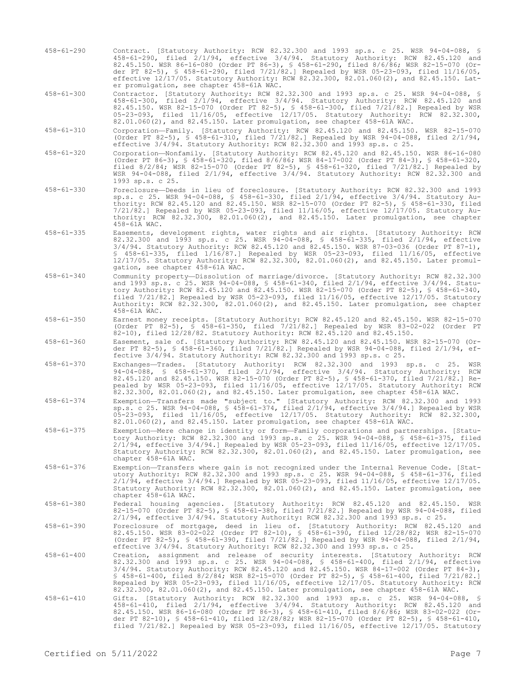- 458-61-290 Contract. [Statutory Authority: RCW 82.32.300 and 1993 sp.s. c 25. WSR 94-04-088, § 458-61-290, filed 2/1/94, effective 3/4/94. Statutory Authority: RCW 82.45.120 and 82.45.150. WSR 86-16-080 (Order PT 86-3), § 458-61-290, filed 8/6/86; WSR 82-15-070 (Order PT 82-5), § 458-61-290, filed 7/21/82.] Repealed by WSR 05-23-093, filed 11/16/05, effective 12/17/05. Statutory Authority: RCW 82.32.300, 82.01.060(2), and 82.45.150. Later promulgation, see chapter 458-61A WAC.
- 458-61-300 Contractor. [Statutory Authority: RCW 82.32.300 and 1993 sp.s. c 25. WSR 94-04-088, § 458-61-300, filed 2/1/94, effective 3/4/94. Statutory Authority: RCW 82.45.120 and 82.45.150. WSR 82-15-070 (Order PT 82-5), § 458-61-300, filed 7/21/82.] Repealed by WSR 05-23-093, filed 11/16/05, effective 12/17/05. Statutory Authority: RCW 82.32.300, 82.01.060(2), and 82.45.150. Later promulgation, see chapter 458-61A WAC.
- 458-61-310 Corporation—Family. [Statutory Authority: RCW 82.45.120 and 82.45.150. WSR 82-15-070 (Order PT 82-5), § 458-61-310, filed 7/21/82.] Repealed by WSR 94-04-088, filed 2/1/94, effective 3/4/94. Statutory Authority: RCW 82.32.300 and 1993 sp.s. c 25.
- 458-61-320 Corporation—Nonfamily. [Statutory Authority: RCW 82.45.120 and 82.45.150. WSR 86-16-080 (Order PT 86-3), § 458-61-320, filed 8/6/86; WSR 84-17-002 (Order PT 84-3), § 458-61-320, filed 8/2/84; WSR 82-15-070 (Order PT 82-5), § 458-61-320, filed 7/21/82.] Repealed by WSR 94-04-088, filed 2/1/94, effective 3/4/94. Statutory Authority: RCW 82.32.300 and 1993 sp.s. c 25.
- 458-61-330 Foreclosure—Deeds in lieu of foreclosure. [Statutory Authority: RCW 82.32.300 and 1993 sp.s. c 25. WSR 94-04-088, § 458-61-330, filed 2/1/94, effective 3/4/94. Statutory Authority: RCW 82.45.120 and 82.45.150. WSR 82-15-070 (Order PT 82-5), § 458-61-330, filed 7/21/82.] Repealed by WSR 05-23-093, filed 11/16/05, effective 12/17/05. Statutory Authority: RCW 82.32.300, 82.01.060(2), and 82.45.150. Later promulgation, see chapter 458-61A WAC.
- 458-61-335 Easements, development rights, water rights and air rights. [Statutory Authority: RCW 82.32.300 and 1993 sp.s. c 25. WSR 94-04-088, § 458-61-335, filed 2/1/94, effective 3/4/94. Statutory Authority: RCW 82.45.120 and 82.45.150. WSR 87-03-036 (Order PT 87-1), § 458-61-335, filed 1/16/87.] Repealed by WSR 05-23-093, filed 11/16/05, effective 12/17/05. Statutory Authority: RCW 82.32.300, 82.01.060(2), and 82.45.150. Later promulgation, see chapter 458-61A WAC.
- 458-61-340 Community property—Dissolution of marriage/divorce. [Statutory Authority: RCW 82.32.300 and 1993 sp.s. c 25. WSR 94-04-088, § 458-61-340, filed 2/1/94, effective 3/4/94. Statutory Authority: RCW 82.45.120 and 82.45.150. WSR 82-15-070 (Order PT 82-5), § 458-61-340, filed 7/21/82.] Repealed by WSR 05-23-093, filed 11/16/05, effective 12/17/05. Statutory Authority: RCW 82.32.300, 82.01.060(2), and 82.45.150. Later promulgation, see chapter 458-61A WAC.
- 458-61-350 Earnest money receipts. [Statutory Authority: RCW 82.45.120 and 82.45.150. WSR 82-15-070 (Order PT 82-5), § 458-61-350, filed 7/21/82.] Repealed by WSR 83-02-022 (Order PT 82-10), filed 12/28/82. Statutory Authority: RCW 82.45.120 and 82.45.150.
- 458-61-360 Easement, sale of. [Statutory Authority: RCW 82.45.120 and 82.45.150. WSR 82-15-070 (Order PT 82-5), § 458-61-360, filed 7/21/82.] Repealed by WSR 94-04-088, filed 2/1/94, effective 3/4/94. Statutory Authority: RCW 82.32.300 and 1993 sp.s. c 25.
- 458-61-370 Exchanges—Trades. [Statutory Authority: RCW 82.32.300 and 1993 sp.s. c 25. WSR 94-04-088, § 458-61-370, filed 2/1/94, effective 3/4/94. Statutory Authority: RCW 82.45.120 and 82.45.150. WSR 82-15-070 (Order PT 82-5), § 458-61-370, filed 7/21/82.] Repealed by WSR 05-23-093, filed 11/16/05, effective 12/17/05. Statutory Authority: RCW 82.32.300, 82.01.060(2), and 82.45.150. Later promulgation, see chapter 458-61A WAC.
- 458-61-374 Exemption—Transfers made "subject to." [Statutory Authority: RCW 82.32.300 and 1993 sp.s. c 25. WSR 94-04-088, § 458-61-374, filed 2/1/94, effective 3/4/94.] Repealed by WSR 05-23-093, filed 11/16/05, effective 12/17/05. Statutory Authority: RCW 82.32.300, 82.01.060(2), and 82.45.150. Later promulgation, see chapter 458-61A WAC.
- 458-61-375 Exemption—Mere change in identity or form—Family corporations and partnerships. [Statutory Authority: RCW 82.32.300 and 1993 sp.s. c 25. WSR 94-04-088, § 458-61-375, filed 2/1/94, effective 3/4/94.] Repealed by WSR 05-23-093, filed 11/16/05, effective 12/17/05. Statutory Authority: RCW 82.32.300, 82.01.060(2), and 82.45.150. Later promulgation, see chapter 458-61A WAC.
- 458-61-376 Exemption—Transfers where gain is not recognized under the Internal Revenue Code. [Statutory Authority: RCW 82.32.300 and 1993 sp.s. c 25. WSR 94-04-088, § 458-61-376, filed 2/1/94, effective 3/4/94.] Repealed by WSR 05-23-093, filed 11/16/05, effective 12/17/05. Statutory Authority: RCW 82.32.300, 82.01.060(2), and 82.45.150. Later promulgation, see chapter 458-61A WAC.
- 458-61-380 Federal housing agencies. [Statutory Authority: RCW 82.45.120 and 82.45.150. WSR 82-15-070 (Order PT 82-5), § 458-61-380, filed 7/21/82.] Repealed by WSR 94-04-088, filed 2/1/94, effective 3/4/94. Statutory Authority: RCW 82.32.300 and 1993 sp.s. c 25.
- 458-61-390 Foreclosure of mortgage, deed in lieu of. [Statutory Authority: RCW 82.45.120 and 82.45.150. WSR 83-02-022 (Order PT 82-10), § 458-61-390, filed 12/28/82; WSR 82-15-070 (Order PT 82-5), § 458-61-390, filed 7/21/82.] Repealed by WSR 94-04-088, filed 2/1/94, effective 3/4/94. Statutory Authority: RCW 82.32.300 and 1993 sp.s. c 25.
- 458-61-400 Creation, assignment and release of security interests. [Statutory Authority: RCW 82.32.300 and 1993 sp.s. c 25. WSR 94-04-088, § 458-61-400, filed 2/1/94, effective<br>3/4/94. Statutory Authority: RCW 82.45.120 and 82.45.150. WSR 84-17-002 (Order PT 84-3),<br>§ 458-61-400, filed 8/2/84; WSR 82-15-070 (Order Repealed by WSR 05-23-093, filed 11/16/05, effective 12/17/05. Statutory Authority: RCW 82.32.300, 82.01.060(2), and 82.45.150. Later promulgation, see chapter 458-61A WAC.
- 458-61-410 Gifts. [Statutory Authority: RCW 82.32.300 and 1993 sp.s. c 25. WSR 94-04-088, § 458-61-410, filed 2/1/94, effective 3/4/94. Statutory Authority: RCW 82.45.120 and 82.45.150. WSR 86-16-080 (Order PT 86-3), § 458-61-410, filed 8/6/86; WSR 83-02-022 (Order PT 82-10), § 458-61-410, filed 12/28/82; WSR 82-15-070 (Order PT 82-5), § 458-61-410, filed 7/21/82.] Repealed by WSR 05-23-093, filed 11/16/05, effective 12/17/05. Statutory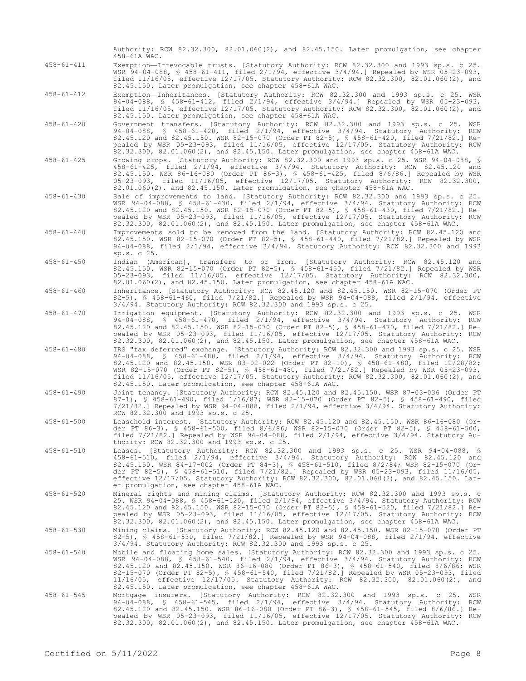|                  | Authority: RCW 82.32.300, 82.01.060(2), and 82.45.150. Later promulgation, see chapter<br>458-61A WAC.                                                                                                                                                                                                                                                                                                                                                                                                                                  |
|------------------|-----------------------------------------------------------------------------------------------------------------------------------------------------------------------------------------------------------------------------------------------------------------------------------------------------------------------------------------------------------------------------------------------------------------------------------------------------------------------------------------------------------------------------------------|
| $458 - 61 - 411$ | Exemption-Irrevocable trusts. [Statutory Authority: RCW 82.32.300 and 1993 sp.s. c 25.<br>WSR 94-04-088, § 458-61-411, filed 2/1/94, effective 3/4/94.] Repealed by WSR 05-23-093,<br>filed $11/16/05$ , effective $12/17/05$ . Statutory Authority: RCW 82.32.300, 82.01.060(2), and<br>82.45.150. Later promulgation, see chapter 458-61A WAC.                                                                                                                                                                                        |
| $458 - 61 - 412$ | Exemption-Inheritances. [Statutory Authority: RCW 82.32.300 and 1993 sp.s. c 25. WSR<br>94-04-088, § 458-61-412, filed $2/1/94$ , effective $3/4/94$ .] Repealed by WSR 05-23-093,<br>filed 11/16/05, effective 12/17/05. Statutory Authority: RCW 82.32.300, 82.01.060(2), and<br>82.45.150. Later promulgation, see chapter 458-61A WAC.                                                                                                                                                                                              |
| $458 - 61 - 420$ | Government transfers. [Statutory Authority: RCW 82.32.300 and 1993 sp.s. c 25. WSR<br>94-04-088, § 458-61-420, filed 2/1/94, effective 3/4/94. Statutory Authority: RCW<br>82.45.120 and 82.45.150. WSR 82-15-070 (Order PT 82-5), § 458-61-420, filed 7/21/82.] Re-<br>pealed by WSR 05-23-093, filed 11/16/05, effective 12/17/05. Statutory Authority: RCW<br>82.32.300, 82.01.060(2), and 82.45.150. Later promulgation, see chapter 458-61A WAC.                                                                                   |
| $458 - 61 - 425$ | Growing crops. [Statutory Authority: RCW 82.32.300 and 1993 sp.s. c 25. WSR 94-04-088, §<br>458-61-425, filed 2/1/94, effective 3/4/94. Statutory Authority: RCW 82.45.120 and<br>82.45.150. WSR 86-16-080 (Order PT 86-3), § 458-61-425, filed 8/6/86.] Repealed by WSR<br>05-23-093, filed 11/16/05, effective 12/17/05. Statutory Authority: RCW 82.32.300,<br>82.01.060(2), and 82.45.150. Later promulgation, see chapter 458-61A WAC.                                                                                             |
| $458 - 61 - 430$ | Sale of improvements to land. [Statutory Authority: RCW 82.32.300 and 1993 sp.s. c 25.<br>WSR 94-04-088, § 458-61-430, filed 2/1/94, effective 3/4/94. Statutory Authority: RCW<br>82.45.120 and 82.45.150. WSR 82-15-070 (Order PT 82-5), § 458-61-430, filed 7/21/82.] Re-<br>pealed by WSR 05-23-093, filed 11/16/05, effective 12/17/05. Statutory Authority: RCW<br>82.32.300, 82.01.060(2), and 82.45.150. Later promulgation, see chapter 458-61A WAC.                                                                           |
| $458 - 61 - 440$ | Improvements sold to be removed from the land. [Statutory Authority: RCW 82.45.120 and<br>82.45.150. WSR 82-15-070 (Order PT 82-5), § 458-61-440, filed 7/21/82.] Repealed by WSR<br>94-04-088, filed 2/1/94, effective 3/4/94. Statutory Authority: RCW 82.32.300 and 1993<br>sp.s. c 25.                                                                                                                                                                                                                                              |
| $458 - 61 - 450$ | Indian (American), transfers to or from. [Statutory Authority: RCW 82.45.120 and<br>82.45.150. WSR 82-15-070 (Order PT 82-5), § 458-61-450, filed 7/21/82.] Repealed by WSR<br>05-23-093, filed 11/16/05, effective 12/17/05. Statutory Authority: RCW 82.32.300,<br>$82.01.060(2)$ , and $82.45.150$ . Later promulgation, see chapter $458-61A$ WAC.                                                                                                                                                                                  |
| $458 - 61 - 460$ | Inheritance. [Statutory Authority: RCW 82.45.120 and 82.45.150. WSR 82-15-070 (Order PT<br>82-5), § 458-61-460, filed 7/21/82.] Repealed by WSR 94-04-088, filed 2/1/94, effective<br>3/4/94. Statutory Authority: RCW 82.32.300 and 1993 sp.s. c 25.                                                                                                                                                                                                                                                                                   |
| $458 - 61 - 470$ | Irrigation equipment. [Statutory Authority: RCW 82.32.300 and 1993 sp.s. c 25. WSR<br>94-04-088, § 458-61-470, filed 2/1/94, effective 3/4/94. Statutory Authority: RCW<br>82.45.120 and 82.45.150. WSR 82-15-070 (Order PT 82-5), § 458-61-470, filed 7/21/82.] Re-<br>pealed by WSR 05-23-093, filed 11/16/05, effective 12/17/05. Statutory Authority: RCW<br>82.32.300, 82.01.060(2), and 82.45.150. Later promulgation, see chapter 458-61A WAC.                                                                                   |
| $458 - 61 - 480$ | IRS "tax deferred" exchange. [Statutory Authority: RCW 82.32.300 and 1993 sp.s. c 25. WSR<br>94-04-088, § 458-61-480, filed 2/1/94, effective 3/4/94. Statutory Authority: RCW<br>82.45.120 and 82.45.150. WSR 83-02-022 (Order PT 82-10), § 458-61-480, filed 12/28/82;<br>WSR 82-15-070 (Order PT 82-5), § 458-61-480, filed 7/21/82.] Repealed by WSR 05-23-093,<br>filed $11/16/05$ , effective $12/17/05$ . Statutory Authority: RCW 82.32.300, 82.01.060(2), and<br>82.45.150. Later promulgation, see chapter 458-61A WAC.       |
| $458 - 61 - 490$ | Joint tenancy. [Statutory Authority: RCW 82.45.120 and 82.45.150. WSR 87-03-036 (Order PT<br>87-1), § 458-61-490, filed 1/16/87; WSR 82-15-070 (Order PT 82-5), § 458-61-490, filed<br>$7/21/82$ .] Repealed by WSR 94-04-088, filed $2/1/94$ , effective $3/4/94$ . Statutory Authority:<br>RCW 82.32.300 and 1993 sp.s. c 25.                                                                                                                                                                                                         |
| $458 - 61 - 500$ | Leasehold interest. [Statutory Authority: RCW 82.45.120 and 82.45.150. WSR 86-16-080 (Or-<br>der PT 86-3), § 458-61-500, filed 8/6/86; WSR 82-15-070 (Order PT 82-5), § 458-61-500,<br>filed $7/21/82$ .] Repealed by WSR 94-04-088, filed $2/1/94$ , effective $3/4/94$ . Statutory Au-<br>thority: RCW 82.32.300 and 1993 sp.s. c 25.                                                                                                                                                                                                 |
| $458 - 61 - 510$ | Leases. [Statutory Authority: RCW 82.32.300 and 1993 sp.s. c 25. WSR 94-04-088, §<br>458-61-510, filed 2/1/94, effective 3/4/94. Statutory Authority: RCW 82.45.120 and<br>82.45.150. WSR 84-17-002 (Order PT 84-3), § 458-61-510, filed 8/2/84; WSR 82-15-070 (Or-<br>der PT 82-5), § 458-61-510, filed 7/21/82.] Repealed by WSR 05-23-093, filed 11/16/05,<br>effective 12/17/05. Statutory Authority: RCW 82.32.300, 82.01.060(2), and 82.45.150. Lat-<br>er promulgation, see chapter 458-61A WAC.                                 |
| $458 - 61 - 520$ | Mineral rights and mining claims. [Statutory Authority: RCW 82.32.300 and 1993 sp.s. c<br>25. WSR 94-04-088, § 458-61-520, filed 2/1/94, effective 3/4/94. Statutory Authority: RCW<br>82.45.120 and 82.45.150. WSR 82-15-070 (Order PT 82-5), § 458-61-520, filed 7/21/82.] Re-<br>pealed by WSR 05-23-093, filed 11/16/05, effective 12/17/05. Statutory Authority: RCW<br>82.32.300, 82.01.060(2), and 82.45.150. Later promulgation, see chapter 458-61A WAC.                                                                       |
| $458 - 61 - 530$ | Mining claims. [Statutory Authority: RCW 82.45.120 and 82.45.150. WSR 82-15-070 (Order PT<br>82-5), § 458-61-530, filed 7/21/82.] Repealed by WSR 94-04-088, filed $2/1/94$ , effective<br>3/4/94. Statutory Authority: RCW 82.32.300 and 1993 sp.s. c 25.                                                                                                                                                                                                                                                                              |
| $458 - 61 - 540$ | Mobile and floating home sales. [Statutory Authority: RCW 82.32.300 and 1993 sp.s. c 25.<br>WSR $94-04-088$ , § $458-61-540$ , filed $2/1/94$ , effective $3/4/94$ . Statutory Authority: RCW<br>82.45.120 and 82.45.150. WSR 86-16-080 (Order PT 86-3), § 458-61-540, filed 8/6/86; WSR<br>82-15-070 (Order PT 82-5), § 458-61-540, filed 7/21/82.] Repealed by WSR 05-23-093, filed<br>11/16/05, effective 12/17/05. Statutory Authority: RCW 82.32.300, 82.01.060(2), and<br>82.45.150. Later promulgation, see chapter 458-61A WAC. |
| $458 - 61 - 545$ | Mortgage insurers. [Statutory Authority: RCW 82.32.300 and 1993 sp.s. c 25.<br>WSR<br>$94-04-088$ , § $458-61-545$ , filed $2/1/94$ , effective $3/4/94$ . Statutory Authority: RCW<br>82.45.120 and 82.45.150. WSR 86-16-080 (Order PT 86-3), § 458-61-545, filed 8/6/86.] Re-<br>pealed by WSR 05-23-093, filed 11/16/05, effective 12/17/05. Statutory Authority: RCW<br>82.32.300, 82.01.060(2), and 82.45.150. Later promulgation, see chapter 458-61A WAC.                                                                        |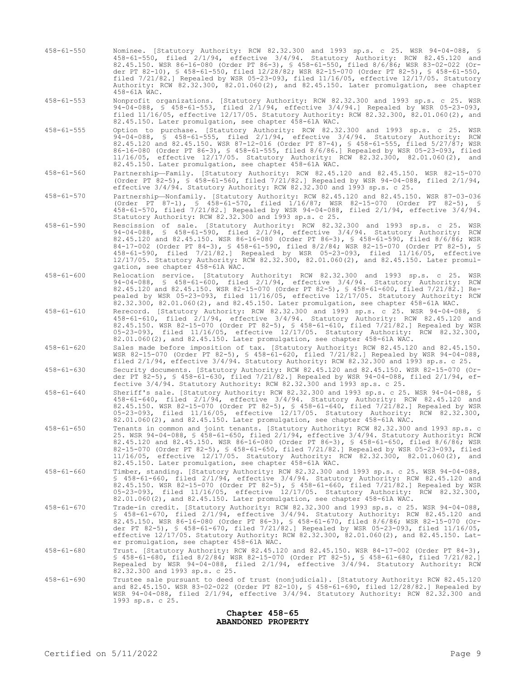| $458 - 61 - 550$ | Nominee. [Statutory Authority: RCW 82.32.300 and 1993 sp.s. c 25. WSR 94-04-088, §<br>458-61-550, filed 2/1/94, effective 3/4/94. Statutory Authority: RCW 82.45.120 and<br>82.45.150. WSR 86-16-080 (Order PT 86-3), § 458-61-550, filed 8/6/86; WSR 83-02-022 (Or-<br>der PT 82-10), § 458-61-550, filed 12/28/82; WSR 82-15-070 (Order PT 82-5), § 458-61-550,<br>filed $7/21/82$ . Repealed by WSR 05-23-093, filed $11/16/05$ , effective $12/17/05$ . Statutory<br>Authority: RCW 82.32.300, 82.01.060(2), and 82.45.150. Later promulgation, see chapter<br>458-61A WAC.         |
|------------------|-----------------------------------------------------------------------------------------------------------------------------------------------------------------------------------------------------------------------------------------------------------------------------------------------------------------------------------------------------------------------------------------------------------------------------------------------------------------------------------------------------------------------------------------------------------------------------------------|
| $458 - 61 - 553$ | Nonprofit organizations. [Statutory Authority: RCW 82.32.300 and 1993 sp.s. c 25. WSR<br>94-04-088, § 458-61-553, filed $2/1/94$ , effective $3/4/94$ .] Repealed by WSR 05-23-093,<br>filed $11/16/05$ , effective $12/17/05$ . Statutory Authority: RCW 82.32.300, 82.01.060(2), and<br>82.45.150. Later promulgation, see chapter 458-61A WAC.                                                                                                                                                                                                                                       |
| $458 - 61 - 555$ | Option to purchase. [Statutory Authority: RCW 82.32.300 and 1993 sp.s. c 25. WSR<br>$94-04-088$ , § $458-61-555$ , filed $2/1/94$ , effective $3/4/94$ . Statutory Authority:<br>RCW<br>82.45.120 and 82.45.150. WSR 87-12-016 (Order PT 87-4), § 458-61-555, filed 5/27/87; WSR<br>86-16-080 (Order PT 86-3), § 458-61-555, filed 8/6/86.] Repealed by WSR 05-23-093, filed<br>$11/16/05$ , effective $12/17/05$ . Statutory Authority: RCW 82.32.300, 82.01.060(2),<br>and<br>82.45.150. Later promulgation, see chapter 458-61A WAC.                                                 |
| $458 - 61 - 560$ | Partnership-Family. [Statutory Authority: RCW 82.45.120 and 82.45.150. WSR 82-15-070<br>(Order PT 82-5), § 458-61-560, filed 7/21/82.] Repealed by WSR 94-04-088, filed $2/1/94$ ,<br>effective 3/4/94. Statutory Authority: RCW 82.32.300 and 1993 sp.s. c 25.                                                                                                                                                                                                                                                                                                                         |
| $458 - 61 - 570$ | Partnership-Nonfamily. [Statutory Authority: RCW 82.45.120 and 82.45.150. WSR 87-03-036<br>(Order PT 87-1), § 458-61-570, filed 1/16/87; WSR 82-15-070 (Order PT 82-5), §<br>458-61-570, filed 7/21/82.] Repealed by WSR 94-04-088, filed 2/1/94, effective 3/4/94.<br>Statutory Authority: RCW 82.32.300 and 1993 sp.s. c 25.                                                                                                                                                                                                                                                          |
| $458 - 61 - 590$ | Rescission of sale. [Statutory Authority: RCW 82.32.300 and 1993 sp.s. c 25. WSR<br>94-04-088, § 458-61-590, filed 2/1/94, effective 3/4/94. Statutory Authority: RCW<br>82.45.120 and 82.45.150. WSR 86-16-080 (Order PT 86-3), § 458-61-590, filed 8/6/86; WSR<br>84-17-002 (Order PT 84-3), § 458-61-590, filed 8/2/84; WSR 82-15-070 (Order PT 82-5), §<br>$458-61-590$ , filed $7/21/82$ . Repealed by WSR 05-23-093, filed $11/16/05$ , effective<br>12/17/05. Statutory Authority: RCW 82.32.300, 82.01.060(2), and 82.45.150. Later promul-<br>gation, see chapter 458-61A WAC. |
| $458 - 61 - 600$ | Relocation service. [Statutory Authority: RCW 82.32.300 and 1993 sp.s. c 25. WSR<br>$94-04-088$ , § $458-61-600$ , filed $2/1/94$ , effective $3/4/94$ . Statutory Authority: RCW<br>82.45.120 and 82.45.150. WSR 82-15-070 (Order PT 82-5), § 458-61-600, filed 7/21/82.] Re-<br>pealed by WSR 05-23-093, filed 11/16/05, effective 12/17/05. Statutory Authority: RCW<br>82.32.300, 82.01.060(2), and 82.45.150. Later promulgation, see chapter 458-61A WAC.                                                                                                                         |
| $458 - 61 - 610$ | Rerecord. [Statutory Authority: RCW 82.32.300 and 1993 sp.s. c 25. WSR 94-04-088, §<br>458-61-610, filed 2/1/94, effective 3/4/94. Statutory Authority: RCW 82.45.120 and<br>82.45.150. WSR 82-15-070 (Order PT 82-5), § 458-61-610, filed 7/21/82.] Repealed by WSR<br>05-23-093, filed 11/16/05, effective 12/17/05. Statutory Authority: RCW 82.32.300,<br>$82.01.060(2)$ , and $82.45.150$ . Later promulgation, see chapter $458-61A$ WAC.                                                                                                                                         |
| $458 - 61 - 620$ | Sales made before imposition of tax. [Statutory Authority: RCW 82.45.120 and 82.45.150.<br>WSR 82-15-070 (Order PT 82-5), § 458-61-620, filed 7/21/82.] Repealed by WSR 94-04-088,<br>filed $2/1/94$ , effective $3/4/94$ . Statutory Authority: RCW 82.32.300 and 1993 sp.s. c 25.                                                                                                                                                                                                                                                                                                     |
| $458 - 61 - 630$ | Security documents. [Statutory Authority: RCW 82.45.120 and 82.45.150. WSR 82-15-070 (Or-<br>der PT 82-5), § 458-61-630, filed 7/21/82.] Repealed by WSR 94-04-088, filed 2/1/94, ef-<br>fective 3/4/94. Statutory Authority: RCW 82.32.300 and 1993 sp.s. c 25.                                                                                                                                                                                                                                                                                                                        |
| $458 - 61 - 640$ | Sheriff's sale. [Statutory Authority: RCW 82.32.300 and 1993 sp.s. c 25. WSR 94-04-088, §<br>$458-61-640$ , filed $2/1/94$ , effective $3/4/94$ . Statutory Authority: RCW 82.45.120 and<br>82.45.150. WSR 82-15-070 (Order PT 82-5), § 458-61-640, filed 7/21/82.] Repealed by WSR<br>05-23-093, filed 11/16/05, effective 12/17/05. Statutory Authority: RCW 82.32.300,<br>$82.01.060(2)$ , and $82.45.150$ . Later promulgation, see chapter $458-61A$ WAC.                                                                                                                          |
| $458 - 61 - 650$ | Tenants in common and joint tenants. [Statutory Authority: RCW 82.32.300 and 1993 sp.s. c<br>25. WSR 94-04-088, § 458-61-650, filed 2/1/94, effective 3/4/94. Statutory Authority: RCW<br>82.45.120 and 82.45.150. WSR 86-16-080 (Order PT 86-3), § 458-61-650, filed 8/6/86; WSR<br>82-15-070 (Order PT 82-5), § 458-61-650, filed 7/21/82.] Repealed by WSR 05-23-093, filed<br>11/16/05, effective 12/17/05. Statutory Authority: RCW 82.32.300, 82.01.060(2), and<br>82.45.150. Later promulgation, see chapter 458-61A WAC.                                                        |
| $458 - 61 - 660$ | Timber, standing. [Statutory Authority: RCW 82.32.300 and 1993 sp.s. c 25. WSR 94-04-088,<br>$$458-61-660$ , filed $2/1/94$ , effective $3/4/94$ . Statutory Authority: RCW 82.45.120 and<br>82.45.150. WSR 82-15-070 (Order PT 82-5), § 458-61-660, filed 7/21/82.] Repealed by WSR<br>$05-23-093$ , filed $11/16/05$ , effective $12/17/05$ . Statutory Authority: RCW 82.32.300,<br>82.01.060(2), and 82.45.150. Later promulgation, see chapter 458-61A WAC.                                                                                                                        |
| $458 - 61 - 670$ | Trade-in credit. [Statutory Authority: RCW 82.32.300 and 1993 sp.s. c 25. WSR 94-04-088,<br>$$458-61-670$ , filed $2/1/94$ , effective $3/4/94$ . Statutory Authority: RCW 82.45.120 and<br>82.45.150. WSR 86-16-080 (Order PT 86-3), § 458-61-670, filed 8/6/86; WSR 82-15-070 (Or-<br>der PT 82-5), § 458-61-670, filed 7/21/82.] Repealed by WSR 05-23-093, filed 11/16/05,<br>effective 12/17/05. Statutory Authority: RCW 82.32.300, 82.01.060(2), and 82.45.150. Lat-<br>er promulgation, see chapter 458-61A WAC.                                                                |
| $458 - 61 - 680$ | Trust. [Statutory Authority: RCW 82.45.120 and 82.45.150. WSR 84-17-002 (Order PT 84-3),<br>\$ 458-61-680, filed 8/2/84; WSR 82-15-070 (Order PT 82-5), \$ 458-61-680, filed 7/21/82.]<br>Repealed by WSR 94-04-088, filed $2/1/94$ , effective $3/4/94$ . Statutory Authority: RCW<br>82.32.300 and 1993 sp.s. c 25.                                                                                                                                                                                                                                                                   |
| $458 - 61 - 690$ | Trustee sale pursuant to deed of trust (nonjudicial). [Statutory Authority: RCW 82.45.120<br>and 82.45.150. WSR 83-02-022 (Order PT 82-10), § 458-61-690, filed 12/28/82.] Repealed by<br>WSR $94-04-088$ , filed $2/1/94$ , effective $3/4/94$ . Statutory Authority: RCW 82.32.300 and<br>1993 sp.s. c 25.                                                                                                                                                                                                                                                                            |

## **Chapter 458-65 ABANDONED PROPERTY**